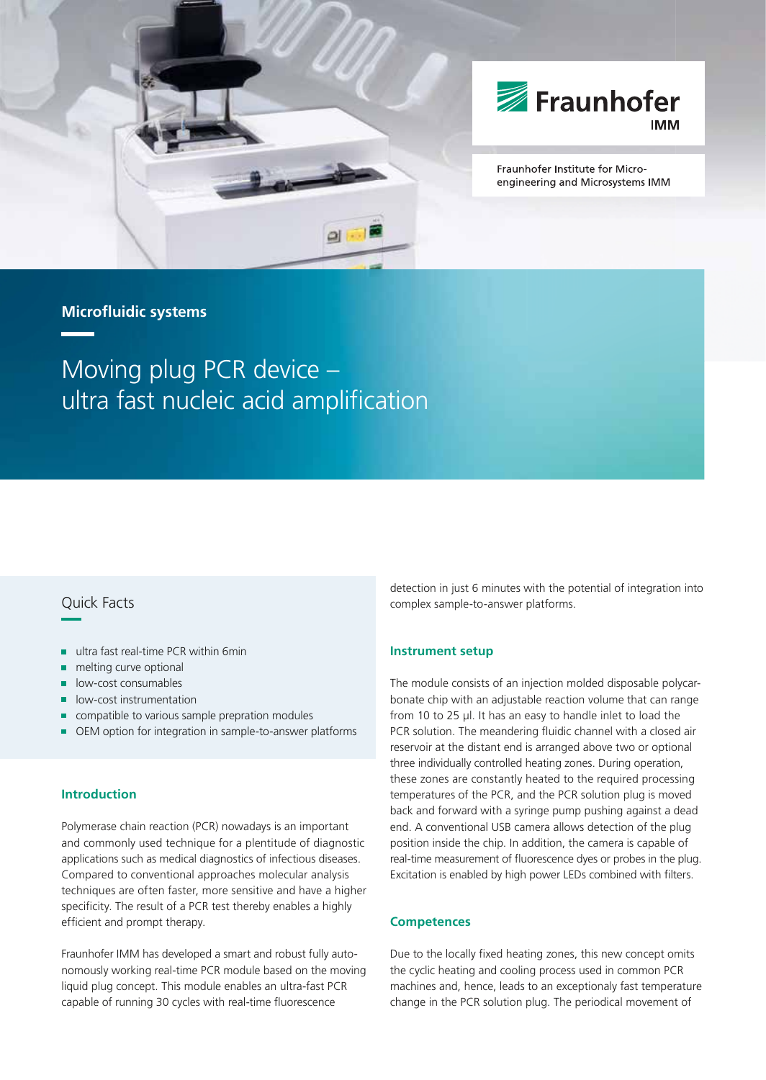



Fraunhofer Institute for Microengineering and Microsystems IMM

## **Microfl uidic systems**

Moving plug PCR device – ultra fast nucleic acid amplification

# Quick Facts

- ultra fast real-time PCR within 6min
- melting curve optional
- low-cost consumables
- low-cost instrumentation
- compatible to various sample prepration modules
- OEM option for integration in sample-to-answer platforms

### **Introduction**

Polymerase chain reaction (PCR) nowadays is an important and commonly used technique for a plentitude of diagnostic applications such as medical diagnostics of infectious diseases. Compared to conventional approaches molecular analysis techniques are often faster, more sensitive and have a higher specificity. The result of a PCR test thereby enables a highly efficient and prompt therapy.

Fraunhofer IMM has developed a smart and robust fully autonomously working real-time PCR module based on the moving liquid plug concept. This module enables an ultra-fast PCR capable of running 30 cycles with real-time fluorescence

detection in just 6 minutes with the potential of integration into complex sample-to-answer platforms.

#### **Instrument setup**

The module consists of an injection molded disposable polycarbonate chip with an adjustable reaction volume that can range from 10 to 25 μl. It has an easy to handle inlet to load the PCR solution. The meandering fluidic channel with a closed air reservoir at the distant end is arranged above two or optional three individually controlled heating zones. During operation, these zones are constantly heated to the required processing temperatures of the PCR, and the PCR solution plug is moved back and forward with a syringe pump pushing against a dead end. A conventional USB camera allows detection of the plug position inside the chip. In addition, the camera is capable of real-time measurement of fluorescence dyes or probes in the plug. Excitation is enabled by high power LEDs combined with filters.

#### **Competences**

Due to the locally fixed heating zones, this new concept omits the cyclic heating and cooling process used in common PCR machines and, hence, leads to an exceptionaly fast temperature change in the PCR solution plug. The periodical movement of